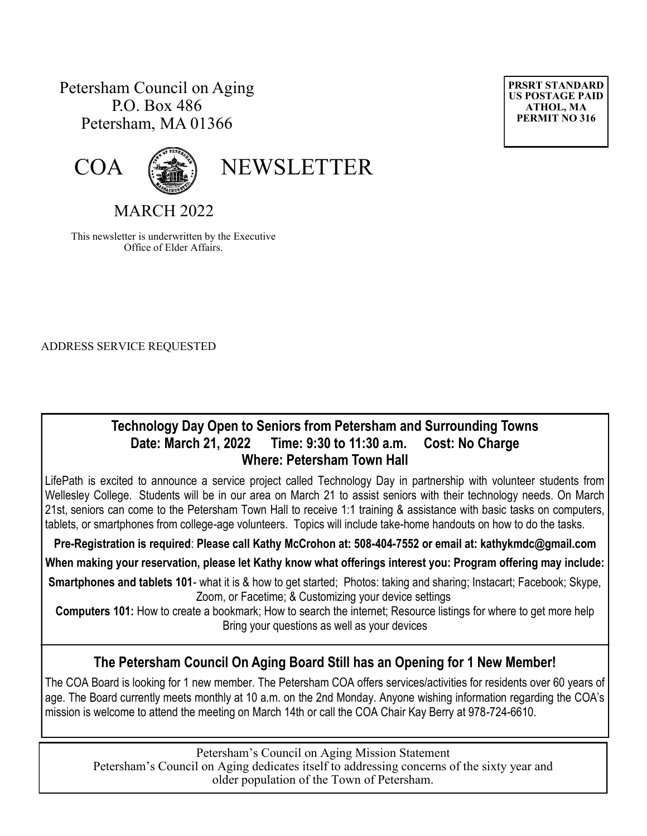# Petersham Council on Aging P.O. Box 486 Petersham, MA 01366





COA (

MARCH 2022

This newsletter is underwritten by the Executive Office of Elder Affairs.

ADDRESS SERVICE REQUESTED

### **Technology Day Open to Seniors from Petersham and Surrounding Towns Date: March 21, 2022 Time: 9:30 to 11:30 a.m. Cost: No Charge Where: Petersham Town Hall**

LifePath is excited to announce a service project called Technology Day in partnership with volunteer students from Wellesley College. Students will be in our area on March 21 to assist seniors with their technology needs. On March 21st, seniors can come to the Petersham Town Hall to receive 1:1 training & assistance with basic tasks on computers, tablets, or smartphones from college-age volunteers. Topics will include take-home handouts on how to do the tasks.

**Pre-Registration is required**: **Please call Kathy McCrohon at: 508-404-7552 or email at: [kathykmdc@gmail.com](mailto:kathykmdc@gmail.com)**

**When making your reservation, please let Kathy know what offerings interest you: Program offering may include:**

**Smartphones and tablets 101**- what it is & how to get started; Photos: taking and sharing; Instacart; Facebook; Skype, Zoom, or Facetime; & Customizing your device settings

**Computers 101:** How to create a bookmark; How to search the internet; Resource listings for where to get more help Bring your questions as well as your devices

## **The Petersham Council On Aging Board Still has an Opening for 1 New Member!**

The COA Board is looking for 1 new member. The Petersham COA offers services/activities for residents over 60 years of age. The Board currently meets monthly at 10 a.m. on the 2nd Monday. Anyone wishing information regarding the COA's mission is welcome to attend the meeting on March 14th or call the COA Chair Kay Berry at 978-724-6610.

Petersham's Council on Aging Mission Statement Petersham's Council on Aging dedicates itself to addressing concerns of the sixty year and older population of the Town of Petersham.

**PRSRT STANDARD US POSTAGE PAID ATHOL, MA PERMIT NO 316**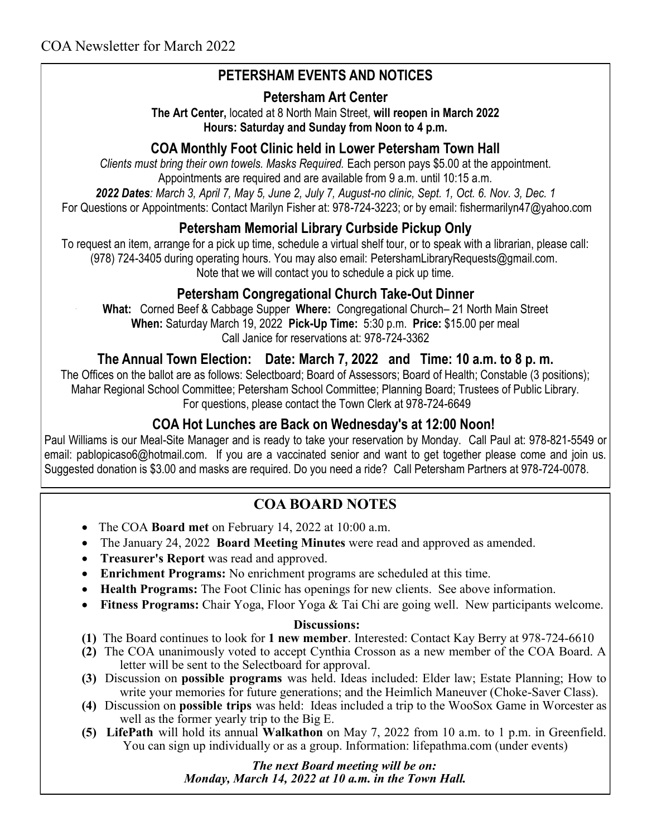# **PETERSHAM EVENTS AND NOTICES**

### **Petersham Art Center**

**The Art Center,** located at 8 North Main Street, **will reopen in March 2022 Hours: Saturday and Sunday from Noon to 4 p.m.** 

## **COA Monthly Foot Clinic held in Lower Petersham Town Hall**

*Clients must bring their own towels. Masks Required.* Each person pays \$5.00 at the appointment. Appointments are required and are available from 9 a.m. until 10:15 a.m.

*2022 Dates: March 3, April 7, May 5, June 2, July 7, August-no clinic, Sept. 1, Oct. 6. Nov. 3, Dec. 1*

For Questions or Appointments: Contact Marilyn Fisher at: 978-724-3223; or by email: fishermarilyn47@yahoo.com

## **Petersham Memorial Library Curbside Pickup Only**

To request an item, arrange for a pick up time, schedule a virtual shelf tour, or to speak with a librarian, please call: (978) 724-3405 during operating hours. You may also email: [PetershamLibraryRequests@gmail.com.](mailto:PetershamLibraryRequests@gmail.com) Note that we will contact you to schedule a pick up time.

### **Petersham Congregational Church Take-Out Dinner**

**What:** Corned Beef & Cabbage Supper **Where:** Congregational Church– 21 North Main Street **When:** Saturday March 19, 2022 **Pick-Up Time:** 5:30 p.m. **Price:** \$15.00 per meal Call Janice for reservations at: 978-724-3362

**The Annual Town Election: Date: March 7, 2022 and Time: 10 a.m. to 8 p. m.**

The Offices on the ballot are as follows: Selectboard; Board of Assessors; Board of Health; Constable (3 positions); Mahar Regional School Committee; Petersham School Committee; Planning Board; Trustees of Public Library. For questions, please contact the Town Clerk at 978-724-6649

## **COA Hot Lunches are Back on Wednesday's at 12:00 Noon!**

Paul Williams is our Meal-Site Manager and is ready to take your reservation by Monday. Call Paul at: 978-821-5549 or email: [pablopicaso6@hotmail.com.](mailto:pablopicaso6@hotmail.com) If you are a vaccinated senior and want to get together please come and join us. Suggested donation is \$3.00 and masks are required. Do you need a ride? Call Petersham Partners at 978-724-0078.

## **COA BOARD NOTES**

- The COA **Board met** on February 14, 2022 at 10:00 a.m.
- The January 24, 2022 **Board Meeting Minutes** were read and approved as amended.
- **Treasurer's Report** was read and approved.
- **Enrichment Programs:** No enrichment programs are scheduled at this time.
- **Health Programs:** The Foot Clinic has openings for new clients. See above information.
- **Fitness Programs:** Chair Yoga, Floor Yoga & Tai Chi are going well. New participants welcome.

#### **Discussions:**

- **(1)** The Board continues to look for **1 new member**. Interested: Contact Kay Berry at 978-724-6610
- **(2)** The COA unanimously voted to accept Cynthia Crosson as a new member of the COA Board. A letter will be sent to the Selectboard for approval.
- **(3)** Discussion on **possible programs** was held. Ideas included: Elder law; Estate Planning; How to write your memories for future generations; and the Heimlich Maneuver (Choke-Saver Class).
- **(4)** Discussion on **possible trips** was held: Ideas included a trip to the WooSox Game in Worcester as well as the former yearly trip to the Big E.
- **(5) LifePath** will hold its annual **Walkathon** on May 7, 2022 from 10 a.m. to 1 p.m. in Greenfield. You can sign up individually or as a group. Information: lifepathma.com (under events)

 *The next Board meeting will be on: Monday, March 14, 2022 at 10 a.m. in the Town Hall.*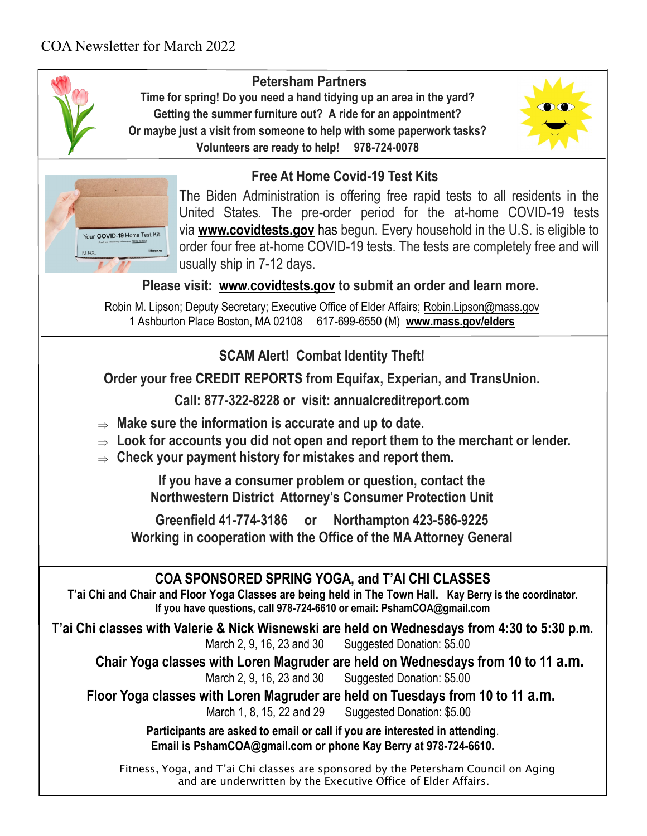

# **Petersham Partners**

**Time for spring! Do you need a hand tidying up an area in the yard? Getting the summer furniture out? A ride for an appointment? Or maybe just a visit from someone to help with some paperwork tasks? Volunteers are ready to help! 978-724-0078**





# **Free At Home Covid-19 Test Kits**

The Biden Administration is offering free rapid tests to all residents in the United States. The pre-order period for the at-home COVID-19 tests via **[www.covidtests.gov](https://urldefense.com/v3/__http:/www.covidtests.gov__;!!CUhgQOZqV7M!xeU5eM9Rn_ysvimUC0bPQj2LIrdgriOfgV-3XmUQ2LNK-AcKP1KVFsZYB7VmtngS0j9Kz60$)** has begun. Every household in the U.S. is eligible to order four free at-home COVID-19 tests. The tests are completely free and will usually ship in 7-12 days.

 **Please visit: [www.covidtests.gov](http://www.covidtests.gov/) to submit an order and learn more.**

Robin M. Lipson; Deputy Secretary; Executive Office of Elder Affairs; [Robin.Lipson@mass.gov](mailto:Robin.Lipson@mass.gov) 1 Ashburton Place Boston, MA 02108 617-699-6550 (M) **[www.mass.gov/elders](http://www.mass.gov/elders)**

**SCAM Alert! Combat Identity Theft!**

**Order your free CREDIT REPORTS from Equifax, Experian, and TransUnion.**

**Call: 877-322-8228 or visit: annualcreditreport.com**

- **Make sure the information is accurate and up to date.**
- **Look for accounts you did not open and report them to the merchant or lender.**
- **Check your payment history for mistakes and report them.**

**If you have a consumer problem or question, contact the Northwestern District Attorney's Consumer Protection Unit**

**Greenfield 41-774-3186 or Northampton 423-586-9225 Working in cooperation with the Office of the MA Attorney General**

## **COA SPONSORED SPRING YOGA, and T'AI CHI CLASSES**

**T'ai Chi and Chair and Floor Yoga Classes are being held in The Town Hall. Kay Berry is the coordinator. If you have questions, call 978-724-6610 or email: PshamCOA@gmail.com**

**T'ai Chi classes with Valerie & Nick Wisnewski are held on Wednesdays from 4:30 to 5:30 p.m.**  March 2, 9, 16, 23 and 30 Suggested Donation: \$5.00

**Chair Yoga classes with Loren Magruder are held on Wednesdays from 10 to 11 a.m.** March 2, 9, 16, 23 and 30 Suggested Donation: \$5.00

**Floor Yoga classes with Loren Magruder are held on Tuesdays from 10 to 11 a.m.**

March 1, 8, 15, 22 and 29 Suggested Donation: \$5.00

**Participants are asked to email or call if you are interested in attending**. **Email is [PshamCOA@gmail.com](mailto:PshamCOA@gmail.com) or phone Kay Berry at 978-724-6610.** 

Fitness, Yoga, and T'ai Chi classes are sponsored by the Petersham Council on Aging and are underwritten by the Executive Office of Elder Affairs.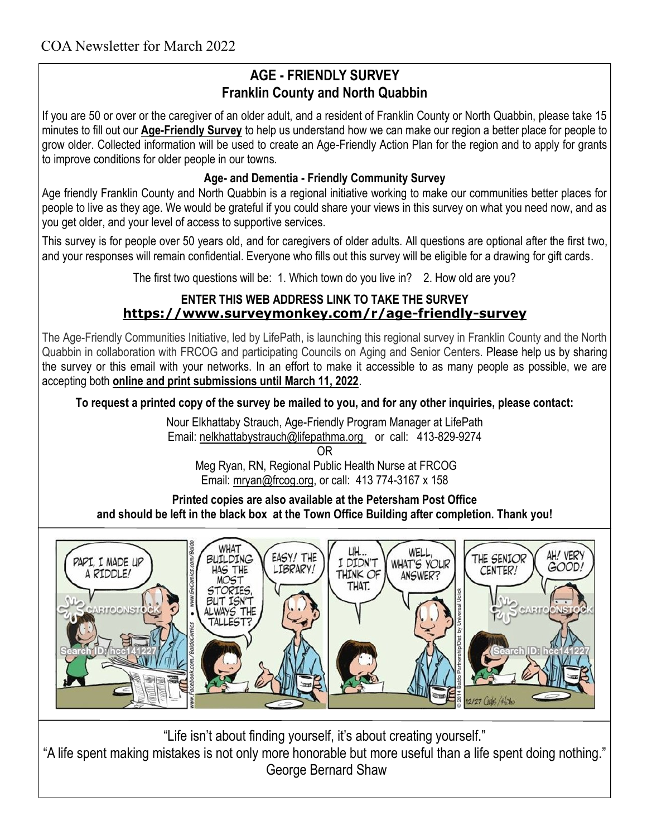## **AGE - FRIENDLY SURVEY Franklin County and North Quabbin**

If you are 50 or over or the caregiver of an older adult, and a resident of Franklin County or North Quabbin, please take 15 minutes to fill out our **[Age-Friendly Survey](https://r20.rs6.net/tn.jsp?f=0011zW-bG4SmR15Gm4xkGRADZoWjzOui8ITz-aqH75gv0cKFrxVxVRhb43nv72KzpGUjoPRfaxVZYlekOP9gRzfbYkddlgOOxw4P6TQjAcEKZmJxtiPxMXg4WbMvViY50Z3r4Qij1zhhXt65SlS4H06MedUp8TCLt7wNFZg1HLRH_TPNK-vk6imYw==&c=OHxagCYBOvVIqEOFktmIH9Npiw_XjK8faqeUtm0W)** to help us understand how we can make our region a better place for people to grow older. Collected information will be used to create an Age-Friendly Action Plan for the region and to apply for grants to improve conditions for older people in our towns.

### **Age- and Dementia - Friendly Community Survey**

Age friendly Franklin County and North Quabbin is a regional initiative working to make our communities better places for people to live as they age. We would be grateful if you could share your views in this survey on what you need now, and as you get older, and your level of access to supportive services.

This survey is for people over 50 years old, and for caregivers of older adults. All questions are optional after the first two, and your responses will remain confidential. Everyone who fills out this survey will be eligible for a drawing for gift cards.

The first two questions will be: 1. Which town do you live in? 2. How old are you?

### **ENTER THIS WEB ADDRESS LINK TO TAKE THE SURVEY [https://www.surveymonkey.com/r/age](https://www.surveymonkey.com/r/age-friendly-survey)-friendly-survey**

The Age-Friendly Communities Initiative, led by LifePath, is launching this regional survey in Franklin County and the North Quabbin in collaboration with FRCOG and participating Councils on Aging and Senior Centers. Please help us by sharing the survey or this email with your networks. In an effort to make it accessible to as many people as possible, we are accepting both **online and print submissions until March 11, 2022**.

**To request a printed copy of the survey be mailed to you, and for any other inquiries, please contact:**

Nour Elkhattaby Strauch, Age-Friendly Program Manager at LifePath Email: [nelkhattabystrauch@lifepathma.org](mailto:nelkhattabystrauch@lifepathma.org) or call: 413-829-9274

OR

Meg Ryan, RN, Regional Public Health Nurse at FRCOG Email: [mryan@frcog.org,](mailto:mryan@frcog.org) or call: 413 774-3167 x 158

**Printed copies are also available at the Petersham Post Office and should be left in the black box at the Town Office Building after completion. Thank you!**



"Life isn't about finding yourself, it's about creating yourself."

"A life spent making mistakes is not only more honorable but more useful than a life spent doing nothing." George Bernard Shaw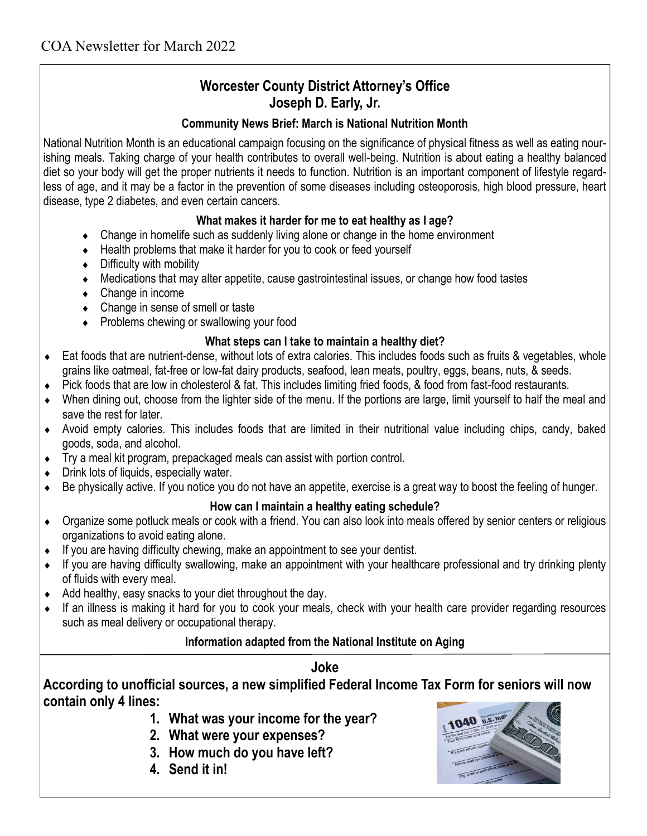# **Worcester County District Attorney's Office Joseph D. Early, Jr.**

#### **Community News Brief: March is National Nutrition Month**

National Nutrition Month is an educational campaign focusing on the significance of physical fitness as well as eating nourishing meals. Taking charge of your health contributes to overall well-being. Nutrition is about eating a healthy balanced diet so your body will get the proper nutrients it needs to function. Nutrition is an important component of lifestyle regardless of age, and it may be a factor in the prevention of some diseases including osteoporosis, high blood pressure, heart disease, type 2 diabetes, and even certain cancers.

#### **What makes it harder for me to eat healthy as I age?**

- Change in homelife such as suddenly living alone or change in the home environment
- $\bullet$  Health problems that make it harder for you to cook or feed yourself
- Difficulty with mobility
- Medications that may alter appetite, cause gastrointestinal issues, or change how food tastes
- Change in income
- Change in sense of smell or taste
- Problems chewing or swallowing your food

#### **What steps can I take to maintain a healthy diet?**

- Eat foods that are nutrient-dense, without lots of extra calories. This includes foods such as fruits & vegetables, whole grains like oatmeal, fat-free or low-fat dairy products, seafood, lean meats, poultry, eggs, beans, nuts, & seeds.
- Pick foods that are low in cholesterol & fat. This includes limiting fried foods, & food from fast-food restaurants.
- When dining out, choose from the lighter side of the menu. If the portions are large, limit yourself to half the meal and save the rest for later.
- Avoid empty calories. This includes foods that are limited in their nutritional value including chips, candy, baked goods, soda, and alcohol.
- Try a meal kit program, prepackaged meals can assist with portion control.
- ◆ Drink lots of liquids, especially water.
- Be physically active. If you notice you do not have an appetite, exercise is a great way to boost the feeling of hunger.

#### **How can I maintain a healthy eating schedule?**

- Organize some potluck meals or cook with a friend. You can also look into meals offered by senior centers or religious organizations to avoid eating alone.
- $\bullet$  If you are having difficulty chewing, make an appointment to see your dentist.
- If you are having difficulty swallowing, make an appointment with your healthcare professional and try drinking plenty of fluids with every meal.
- $\triangleleft$  Add healthy, easy snacks to your diet throughout the day.
- If an illness is making it hard for you to cook your meals, check with your health care provider regarding resources such as meal delivery or occupational therapy.

### **Information adapted from the National Institute on Aging**

### **Joke**

**According to unofficial sources, a new simplified Federal Income Tax Form for seniors will now contain only 4 lines:**

- **1. What was your income for the year?**
- **2. What were your expenses?**
- **3. How much do you have left?**
- **4. Send it in!**